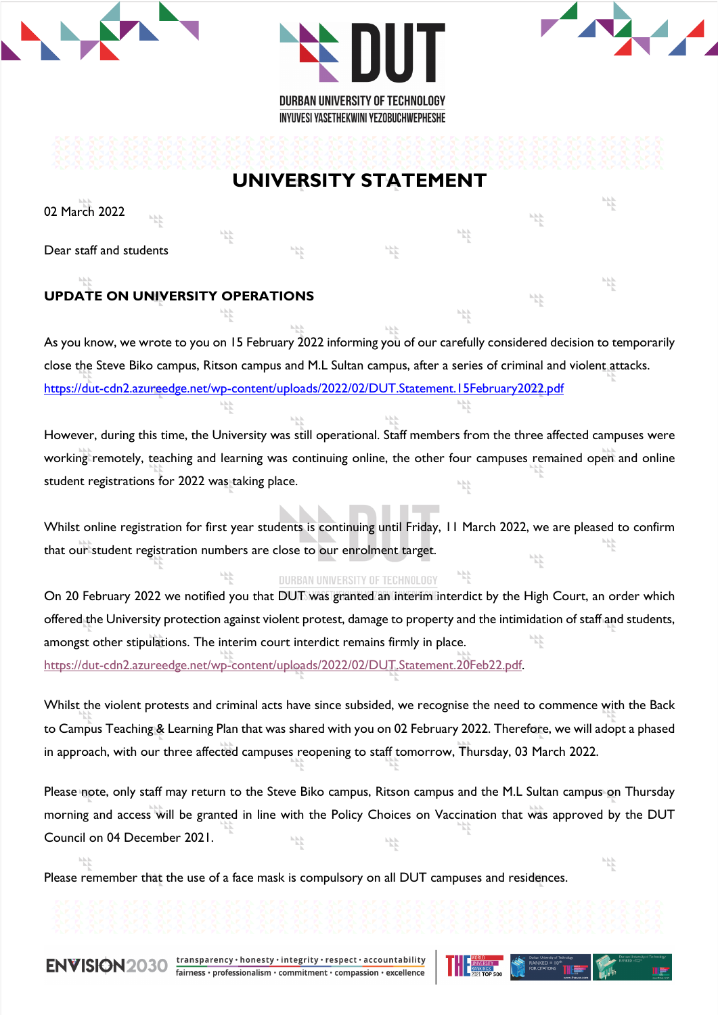



냓

밥

낛

냓

# **UNIVERSITY STATEMENT**

02 March 2022

Dear staff and students

# **UPDATE ON UNIVERSITY OPERATIONS**

As you know, we wrote to you on 15 February 2022 informing you of our carefully considered decision to temporarily close the Steve Biko campus, Ritson campus and M.L Sultan campus, after a series of criminal and violent attacks. https://dut-cdn2.azureedge.net/wp-content/uploads/2022/02/DUT.Statement.15February2022.pdf

However, during this time, the University was still operational. Staff members from the three affected campuses were working remotely, teaching and learning was continuing online, the other four campuses remained open and online student registrations for 2022 was taking place.

Whilst online registration for first year students is continuing until Friday, 11 March 2022, we are pleased to confirm that our student registration numbers are close to our enrolment target. 사

### DURBAN UNIVERSITY OF TECHNOLOGY

On 20 February 2022 we notified you that DUT was granted an interim interdict by the High Court, an order which offered the University protection against violent protest, damage to property and the intimidation of staff and students, amongst other stipulations. The interim court interdict remains firmly in place. https://dut-cdn2.azureedge.net/wp-content/uploads/2022/02/DUT.Statement.20Feb22.pdf.

Whilst the violent protests and criminal acts have since subsided, we recognise the need to commence with the Back to Campus Teaching & Learning Plan that was shared with you on 02 February 2022. Therefore, we will adopt a phased in approach, with our three affected campuses reopening to staff tomorrow, Thursday, 03 March 2022.

Please note, only staff may return to the Steve Biko campus, Ritson campus and the M.L Sultan campus on Thursday morning and access will be granted in line with the Policy Choices on Vaccination that was approved by the DUT Council on 04 December 2021.

Please remember that the use of a face mask is compulsory on all DUT campuses and residences.

ENVISION2030

transparency · honesty · integrity · respect · accountability fairness · professionalism · commitment · compassion · excellence